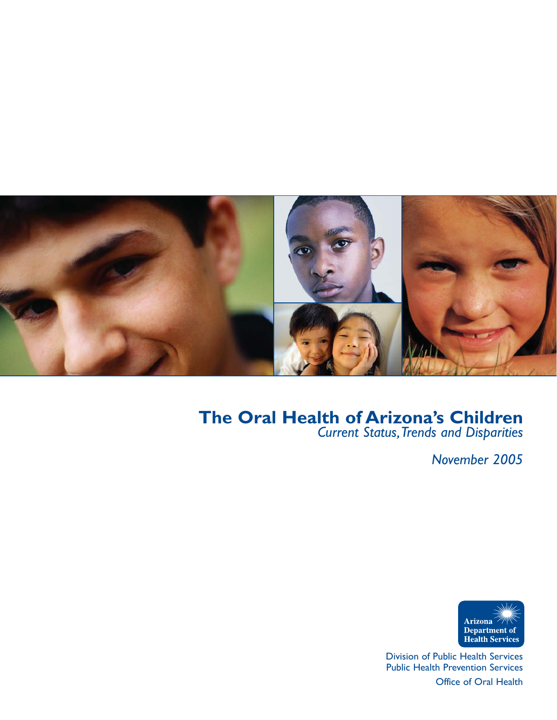

# **The Oral Health of Arizona's Children**

*Current Status,Trends and Disparities*

*November 2005*



Division of Public Health Services Public Health Prevention Services

Office of Oral Health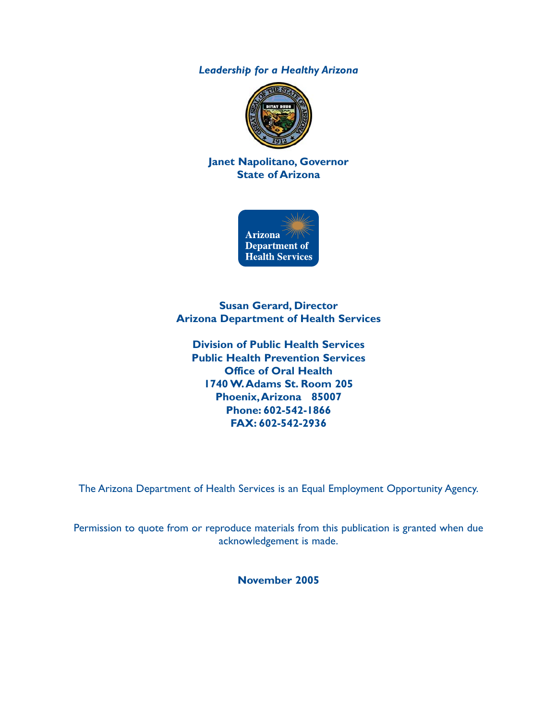*Leadership for a Healthy Arizona*



**Janet Napolitano, Governor State of Arizona**



**Susan Gerard, Director Arizona Department of Health Services**

**Division of Public Health Services Public Health Prevention Services Office of Oral Health 1740 W.Adams St. Room 205 Phoenix,Arizona 85007 Phone: 602-542-1866 FAX: 602-542-2936**

The Arizona Department of Health Services is an Equal Employment Opportunity Agency.

Permission to quote from or reproduce materials from this publication is granted when due acknowledgement is made.

**November 2005**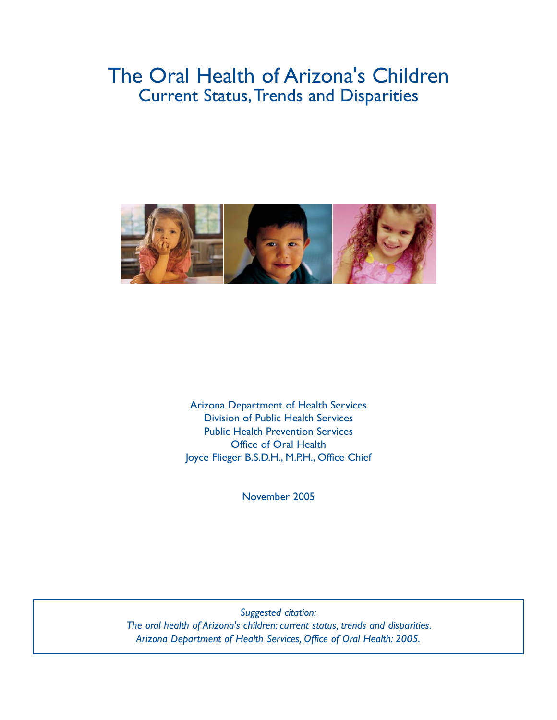# The Oral Health of Arizona's Children **Current Status, Trends and Disparities**



Arizona Department of Health Services Division of Public Health Services Public Health Prevention Services Office of Oral Health Joyce Flieger B.S.D.H., M.P.H., Office Chief

November 2005

*Suggested citation: The oral health of Arizona's children: current status, trends and disparities. Arizona Department of Health Services, Office of Oral Health: 2005.*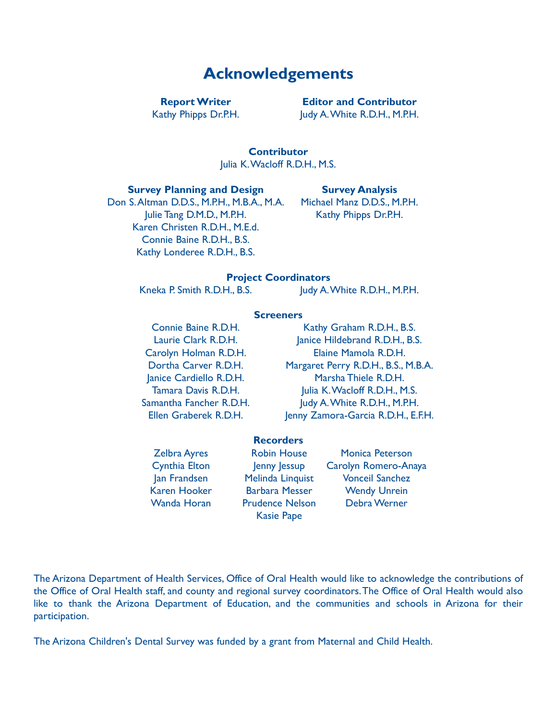## **Acknowledgements**

Kathy Phipps Dr.P.H. Judy A. White R.D.H., M.P.H.

**Report Writer Editor and Contributor**

**Contributor** Julia K.Wacloff R.D.H., M.S.

#### **Survey Planning and Design Survey Analysis**

Don S.Altman D.D.S., M.P.H., M.B.A., M.A. Michael Manz D.D.S., M.P.H. Julie Tang D.M.D., M.P.H. Kathy Phipps Dr.P.H. Karen Christen R.D.H., M.E.d. Connie Baine R.D.H., B.S. Kathy Londeree R.D.H., B.S.

#### **Project Coordinators**

Kneka P. Smith R.D.H., B.S. Judy A. White R.D.H., M.P.H.

#### **Screeners**

Connie Baine R.D.H. Kathy Graham R.D.H., B.S. Laurie Clark R.D.H. Janice Hildebrand R.D.H., B.S. Carolyn Holman R.D.H. Elaine Mamola R.D.H. Dortha Carver R.D.H. Margaret Perry R.D.H., B.S., M.B.A. Janice Cardiello R.D.H. Marsha Thiele R.D.H. Tamara Davis R.D.H. Julia K.Wacloff R.D.H., M.S. Samantha Fancher R.D.H. Judy A. White R.D.H., M.P.H. Ellen Graberek R.D.H. Jenny Zamora-Garcia R.D.H., E.F.H.

#### **Recorders**

Kasie Pape

Zelbra Ayres Robin House Monica Peterson Cynthia Elton Jenny Jessup Carolyn Romero-Anaya Jan Frandsen Melinda Linquist Vonceil Sanchez Karen Hooker Barbara Messer Wendy Unrein Wanda Horan Prudence Nelson Debra Werner

The Arizona Department of Health Services, Office of Oral Health would like to acknowledge the contributions of the Office of Oral Health staff, and county and regional survey coordinators.The Office of Oral Health would also like to thank the Arizona Department of Education, and the communities and schools in Arizona for their participation.

The Arizona Children's Dental Survey was funded by a grant from Maternal and Child Health.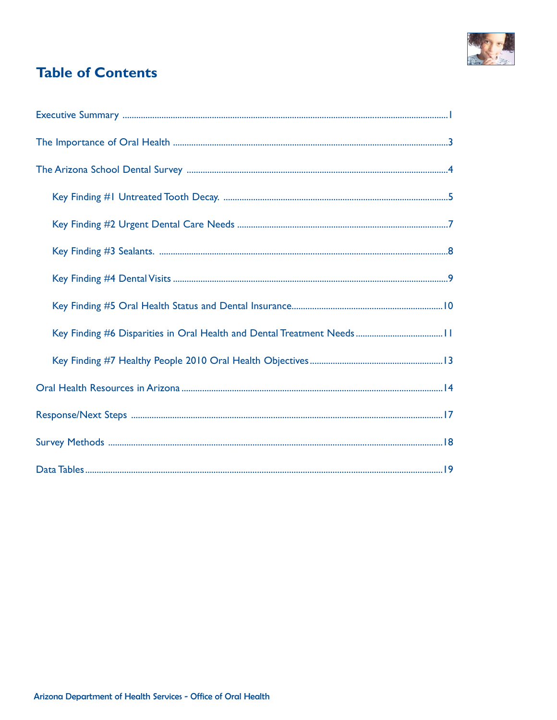

## **Table of Contents**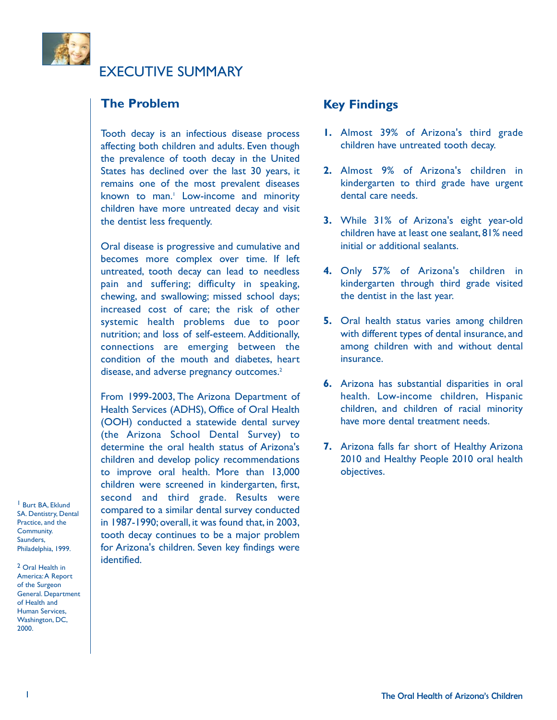

EXECUTIVE SUMMARY

### **The Problem**

Tooth decay is an infectious disease process affecting both children and adults. Even though the prevalence of tooth decay in the United States has declined over the last 30 years, it remains one of the most prevalent diseases known to man.<sup>1</sup> Low-income and minority children have more untreated decay and visit the dentist less frequently.

Oral disease is progressive and cumulative and becomes more complex over time. If left untreated, tooth decay can lead to needless pain and suffering; difficulty in speaking, chewing, and swallowing; missed school days; increased cost of care; the risk of other systemic health problems due to poor nutrition; and loss of self-esteem. Additionally, connections are emerging between the condition of the mouth and diabetes, heart disease, and adverse pregnancy outcomes.<sup>2</sup>

From 1999-2003, The Arizona Department of Health Services (ADHS), Office of Oral Health (OOH) conducted a statewide dental survey (the Arizona School Dental Survey) to determine the oral health status of Arizona's children and develop policy recommendations to improve oral health. More than 13,000 children were screened in kindergarten, first, second and third grade. Results were compared to a similar dental survey conducted in 1987-1990; overall, it was found that, in 2003, tooth decay continues to be a major problem for Arizona's children. Seven key findings were identified.

1 Burt BA, Eklund SA. Dentistry, Dental Practice, and the Community. Saunders, Philadelphia, 1999.

2 Oral Health in America:A Report of the Surgeon General. Department of Health and Human Services, Washington, DC, 2000.

### **Key Findings**

- **1.** Almost 39% of Arizona's third grade children have untreated tooth decay.
- **2.** Almost 9% of Arizona's children in kindergarten to third grade have urgent dental care needs.
- **3.** While 31% of Arizona's eight year-old children have at least one sealant, 81% need initial or additional sealants.
- **4.** Only 57% of Arizona's children in kindergarten through third grade visited the dentist in the last year.
- **5.** Oral health status varies among children with different types of dental insurance, and among children with and without dental insurance.
- **6.** Arizona has substantial disparities in oral health. Low-income children, Hispanic children, and children of racial minority have more dental treatment needs.
- **7.** Arizona falls far short of Healthy Arizona 2010 and Healthy People 2010 oral health objectives.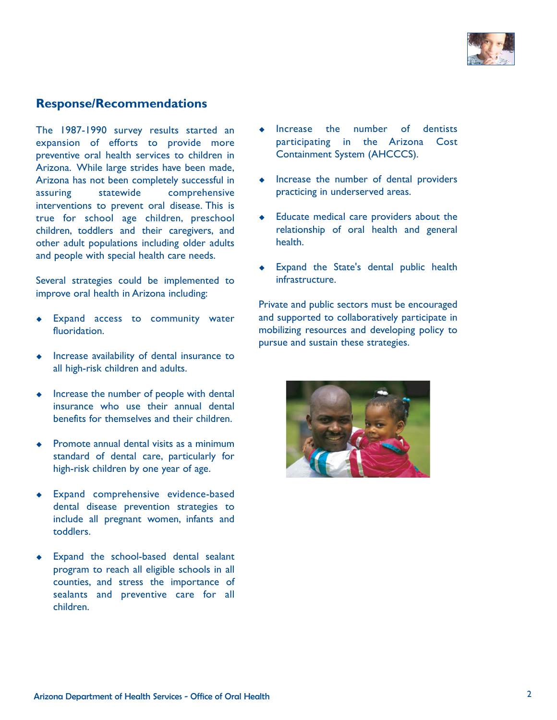

### **Response/Recommendations**

The 1987-1990 survey results started an expansion of efforts to provide more preventive oral health services to children in Arizona. While large strides have been made, Arizona has not been completely successful in assuring statewide comprehensive interventions to prevent oral disease. This is true for school age children, preschool children, toddlers and their caregivers, and other adult populations including older adults and people with special health care needs.

Several strategies could be implemented to improve oral health in Arizona including:

- Expand access to community water fluoridation.
- Increase availability of dental insurance to all high-risk children and adults.
- $\bullet$  Increase the number of people with dental insurance who use their annual dental benefits for themselves and their children.
- Promote annual dental visits as a minimum standard of dental care, particularly for high-risk children by one year of age.
- Expand comprehensive evidence-based dental disease prevention strategies to include all pregnant women, infants and toddlers.
- Expand the school-based dental sealant program to reach all eligible schools in all counties, and stress the importance of sealants and preventive care for all children.
- $\bullet$  Increase the number of dentists participating in the Arizona Cost Containment System (AHCCCS).
- Increase the number of dental providers practicing in underserved areas.
- Educate medical care providers about the relationship of oral health and general health.
- Expand the State's dental public health infrastructure.

Private and public sectors must be encouraged and supported to collaboratively participate in mobilizing resources and developing policy to pursue and sustain these strategies.

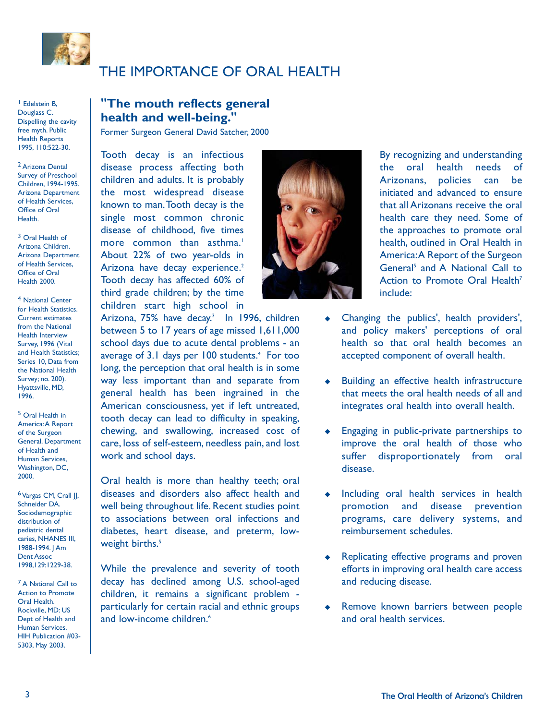

## THE IMPORTANCE OF ORAL HEALTH

1 Edelstein B, Douglass C. Dispelling the cavity free myth. Public Health Reports 1995, 110:522-30.

2 Arizona Dental Survey of Preschool Children, 1994-1995. Arizona Department of Health Services, Office of Oral Health.

3 Oral Health of Arizona Children. Arizona Department of Health Services, Office of Oral Health 2000.

4 National Center for Health Statistics. Current estimates from the National Health Interview Survey, 1996 (Vital and Health Statistics; Series 10, Data from the National Health Survey; no. 200). Hyattsville, MD, 1996.

5 Oral Health in America:A Report of the Surgeon General. Department of Health and Human Services, Washington, DC, 2000.

6 Vargas CM, Crall JJ, Schneider DA. Sociodemographic distribution of pediatric dental caries, NHANES III, 1988-1994. J Am Dent Assoc 1998,129:1229-38.

7 A National Call to Action to Promote Oral Health. Rockville, MD: US Dept of Health and Human Services. HIH Publication #03- 5303, May 2003.

### **"The mouth reflects general health and well-being."**

Former Surgeon General David Satcher, 2000

Tooth decay is an infectious disease process affecting both children and adults. It is probably the most widespread disease known to man.Tooth decay is the single most common chronic disease of childhood, five times more common than asthma.<sup>1</sup> About 22% of two year-olds in Arizona have decay experience.<sup>2</sup> Tooth decay has affected 60% of third grade children; by the time children start high school in

Arizona, 75% have decay.<sup>3</sup> In 1996, children between 5 to 17 years of age missed 1,611,000 school days due to acute dental problems - an average of 3.1 days per 100 students.<sup>4</sup> For too long, the perception that oral health is in some way less important than and separate from general health has been ingrained in the American consciousness, yet if left untreated, tooth decay can lead to difficulty in speaking, chewing, and swallowing, increased cost of care, loss of self-esteem, needless pain, and lost work and school days.

Oral health is more than healthy teeth; oral diseases and disorders also affect health and well being throughout life. Recent studies point to associations between oral infections and diabetes, heart disease, and preterm, lowweight births.<sup>5</sup>

While the prevalence and severity of tooth decay has declined among U.S. school-aged children, it remains a significant problem particularly for certain racial and ethnic groups and low-income children.<sup>6</sup>



By recognizing and understanding the oral health needs of Arizonans, policies can be initiated and advanced to ensure that all Arizonans receive the oral health care they need. Some of the approaches to promote oral health, outlined in Oral Health in America:A Report of the Surgeon General<sup>5</sup> and A National Call to Action to Promote Oral Health<sup>7</sup> include:

- Changing the publics', health providers', and policy makers' perceptions of oral health so that oral health becomes an accepted component of overall health.
- Building an effective health infrastructure that meets the oral health needs of all and integrates oral health into overall health.
- **Engaging in public-private partnerships to** improve the oral health of those who suffer disproportionately from oral disease.
- $\bullet$  Including oral health services in health promotion and disease prevention programs, care delivery systems, and reimbursement schedules.
- Replicating effective programs and proven efforts in improving oral health care access and reducing disease.
- Remove known barriers between people and oral health services.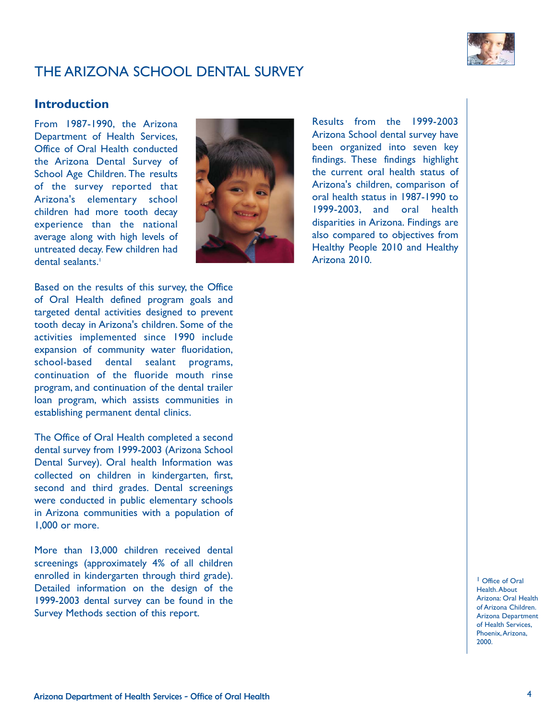

## THE ARIZONA SCHOOL DENTAL SURVEY

### **Introduction**

From 1987-1990, the Arizona Department of Health Services, Office of Oral Health conducted the Arizona Dental Survey of School Age Children. The results of the survey reported that Arizona's elementary school children had more tooth decay experience than the national average along with high levels of untreated decay. Few children had dental sealants.<sup>1</sup>



Based on the results of this survey, the Office of Oral Health defined program goals and targeted dental activities designed to prevent tooth decay in Arizona's children. Some of the activities implemented since 1990 include expansion of community water fluoridation, school-based dental sealant programs, continuation of the fluoride mouth rinse program, and continuation of the dental trailer loan program, which assists communities in establishing permanent dental clinics.

The Office of Oral Health completed a second dental survey from 1999-2003 (Arizona School Dental Survey). Oral health Information was collected on children in kindergarten, first, second and third grades. Dental screenings were conducted in public elementary schools in Arizona communities with a population of 1,000 or more.

More than 13,000 children received dental screenings (approximately 4% of all children enrolled in kindergarten through third grade). Detailed information on the design of the 1999-2003 dental survey can be found in the Survey Methods section of this report.

Results from the 1999-2003 Arizona School dental survey have been organized into seven key findings. These findings highlight the current oral health status of Arizona's children, comparison of oral health status in 1987-1990 to 1999-2003, and oral health disparities in Arizona. Findings are also compared to objectives from Healthy People 2010 and Healthy Arizona 2010.

> 1 Office of Oral Health.About Arizona: Oral Health of Arizona Children. Arizona Department of Health Services, Phoenix,Arizona, 2000.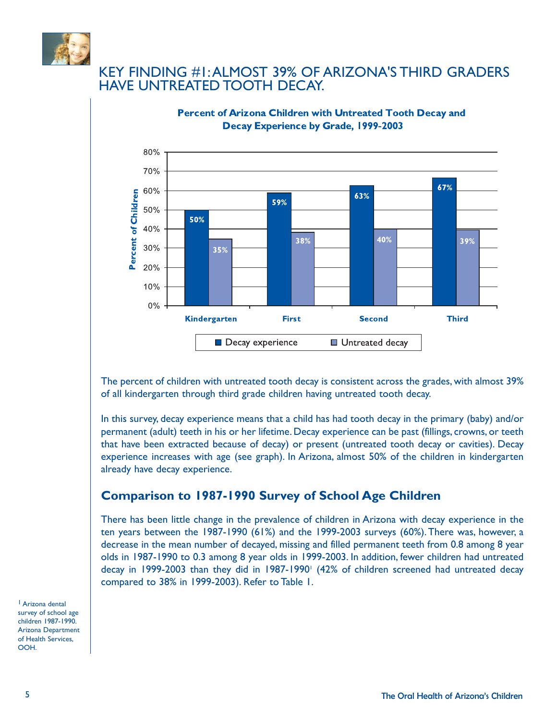

### KEY FINDING #1:ALMOST 39% OF ARIZONA'S THIRD GRADERS HAVE UNTREATED TOOTH DECAY.



#### **Percent of Arizona Children with Untreated Tooth Decay and** Decay Experience by Grade, 1999-2003

The percent of children with untreated tooth decay is consistent across the grades, with almost 39% of all kindergarten through third grade children having untreated tooth decay.

In this survey, decay experience means that a child has had tooth decay in the primary (baby) and/or permanent (adult) teeth in his or her lifetime. Decay experience can be past (fillings, crowns, or teeth that have been extracted because of decay) or present (untreated tooth decay or cavities). Decay experience increases with age (see graph). In Arizona, almost 50% of the children in kindergarten already have decay experience.

### **Comparison to 1987-1990 Survey of School Age Children**

There has been little change in the prevalence of children in Arizona with decay experience in the ten years between the 1987-1990 (61%) and the 1999-2003 surveys (60%). There was, however, a decrease in the mean number of decayed, missing and filled permanent teeth from 0.8 among 8 year olds in 1987-1990 to 0.3 among 8 year olds in 1999-2003. In addition, fewer children had untreated decay in 1999-2003 than they did in 1987-1990<sup>1</sup> (42% of children screened had untreated decay compared to 38% in 1999-2003). Refer to Table 1.

1 Arizona dental survey of school age children 1987-1990. Arizona Department of Health Services, OOH.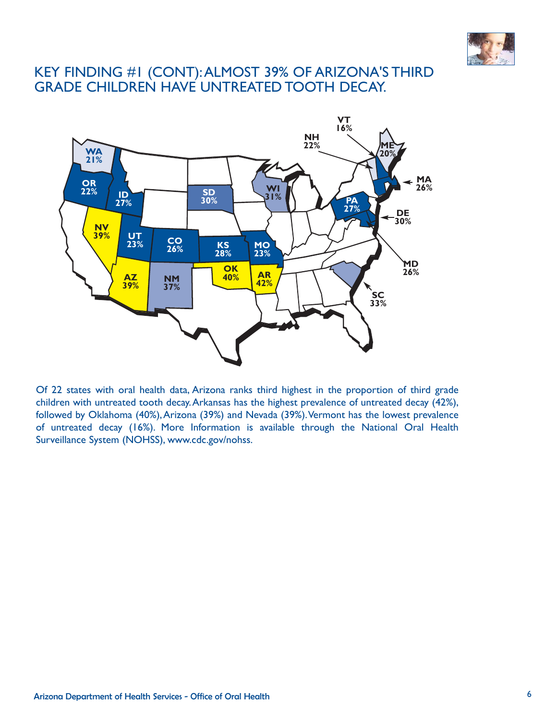

## KEY FINDING #1 (CONT):ALMOST 39% OF ARIZONA'S THIRD GRADE CHILDREN HAVE UNTREATED TOOTH DECAY.



Of 22 states with oral health data, Arizona ranks third highest in the proportion of third grade children with untreated tooth decay.Arkansas has the highest prevalence of untreated decay (42%), followed by Oklahoma (40%), Arizona (39%) and Nevada (39%). Vermont has the lowest prevalence of untreated decay (16%). More Information is available through the National Oral Health Surveillance System (NOHSS), www.cdc.gov/nohss.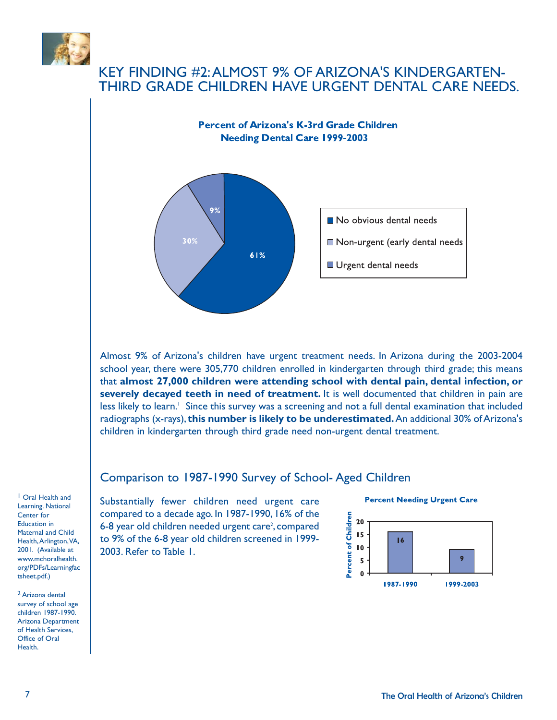

### KEY FINDING #2:ALMOST 9% OF ARIZONA'S KINDERGARTEN-THIRD GRADE CHILDREN HAVE URGENT DENTAL CARE NEEDS.



Almost 9% of Arizona's children have urgent treatment needs. In Arizona during the 2003-2004 school year, there were 305,770 children enrolled in kindergarten through third grade; this means that **almost 27,000 children were attending school with dental pain, dental infection, or severely decayed teeth in need of treatment.** It is well documented that children in pain are less likely to learn.<sup>1</sup> Since this survey was a screening and not a full dental examination that included radiographs (x-rays), **this number is likely to be underestimated.**An additional 30% of Arizona's children in kindergarten through third grade need non-urgent dental treatment.

### Comparison to 1987-1990 Survey of School- Aged Children

1 Oral Health and Learning. National Center for Education in Maternal and Child Health,Arlington,VA, 2001. (Available at www.mchoralhealth. org/PDFs/Learningfac tsheet.pdf.)

2 Arizona dental survey of school age children 1987-1990. Arizona Department of Health Services, Office of Oral Health.

Substantially fewer children need urgent care compared to a decade ago. In 1987-1990, 16% of the 6-8 year old children needed urgent care<sup>2</sup>, compared to 9% of the 6-8 year old children screened in 1999- 2003. Refer to Table 1.



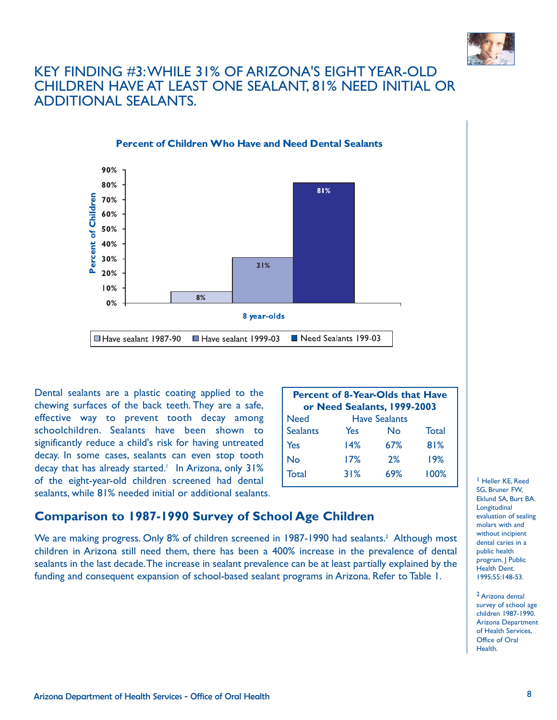

### KEY FINDING #3:WHILE 31% OF ARIZONA'S EIGHT YEAR-OLD CHILDREN HAVE AT LEAST ONE SEALANT, 81% NEED INITIAL OR ADDITIONAL SEALANTS.



Dental sealants are a plastic coating applied to the chewing surfaces of the back teeth. They are a safe, effective way to prevent tooth decay among schoolchildren. Sealants have been shown to significantly reduce a child's risk for having untreated decay. In some cases, sealants can even stop tooth decay that has already started.<sup>1</sup> In Arizona, only 31% of the eight-year-old children screened had dental sealants, while 81% needed initial or additional sealants.

| <b>Percent of 8-Year-Olds that Have</b> |     |                             |       |  |  |
|-----------------------------------------|-----|-----------------------------|-------|--|--|
|                                         |     | or Need Sealants, 1999-2003 |       |  |  |
| <b>Need</b>                             |     | <b>Have Sealants</b>        |       |  |  |
| <b>Sealants</b>                         | Yes | No                          | Total |  |  |
| Yes                                     | 14% | 67%                         | 81%   |  |  |
| No                                      | 17% | 2%                          | 19%   |  |  |
| Total                                   | 31% | 69%                         | 100%  |  |  |

### **Comparison to 1987-1990 Survey of School Age Children**

We are making progress. Only 8% of children screened in 1987-1990 had sealants.<sup>2</sup> Although most children in Arizona still need them, there has been a 400% increase in the prevalence of dental sealants in the last decade.The increase in sealant prevalence can be at least partially explained by the funding and consequent expansion of school-based sealant programs in Arizona. Refer to Table 1.

1 Heller KE, Reed SG, Bruner FW, Eklund SA, Burt BA. Longitudinal evaluation of sealing molars with and without incinient dental caries in a public health program. J Public Health Dent. 1995;55:148-53.

2 Arizona dental survey of school age children 1987-1990. Arizona Department of Health Services, Office of Oral Health.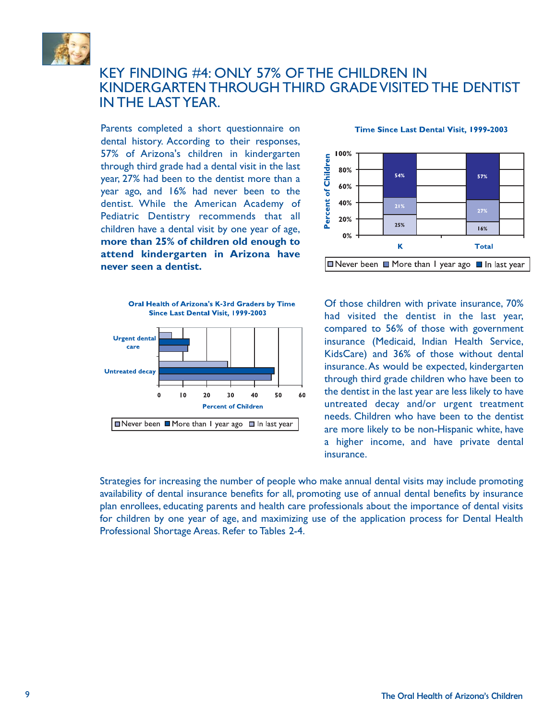

### KEY FINDING #4: ONLY 57% OF THE CHILDREN IN KINDERGARTEN THROUGH THIRD GRADE VISITED THE DENTIST IN THE LAST YEAR.

Parents completed a short questionnaire on dental history. According to their responses, 57% of Arizona's children in kindergarten through third grade had a dental visit in the last year, 27% had been to the dentist more than a year ago, and 16% had never been to the dentist. While the American Academy of Pediatric Dentistry recommends that all children have a dental visit by one year of age, **more than 25% of children old enough to attend kindergarten in Arizona have never seen a dentist.**

> Oral Health of Arizona's K-3rd Graders by Time Since Last Dental Visit, 1999-2003

> > $20$

■ Never been ■ More than I year ago ■ In last year

30

**Percent of Children** 

40

50

٨Ò

1ŏ

 $\Omega$ 

**Urgent dental** care

**Untreated decay** 



#### Time Since Last Dental Visit, 1999-2003



Strategies for increasing the number of people who make annual dental visits may include promoting availability of dental insurance benefits for all, promoting use of annual dental benefits by insurance plan enrollees, educating parents and health care professionals about the importance of dental visits for children by one year of age, and maximizing use of the application process for Dental Health Professional Shortage Areas. Refer to Tables 2-4.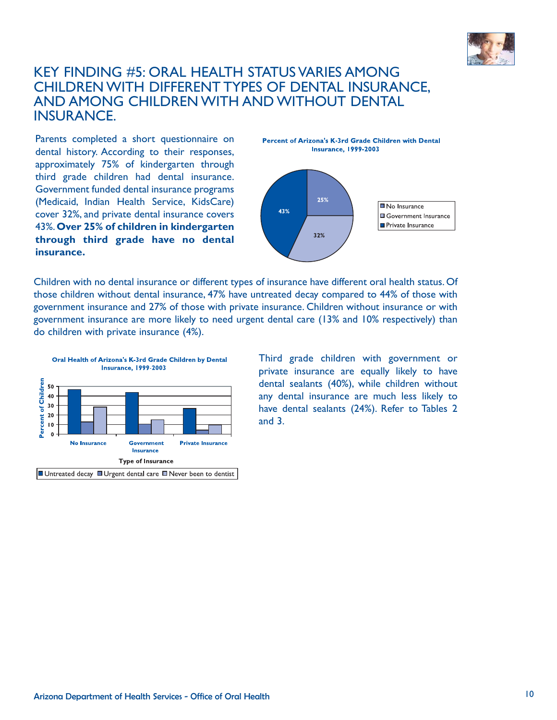

### KEY FINDING #5: ORAL HEALTH STATUS VARIES AMONG CHILDREN WITH DIFFERENT TYPES OF DENTAL INSURANCE, AND AMONG CHILDREN WITH AND WITHOUT DENTAL INSURANCE.

Parents completed a short questionnaire on dental history. According to their responses, approximately 75% of kindergarten through third grade children had dental insurance. Government funded dental insurance programs (Medicaid, Indian Health Service, KidsCare) cover 32%, and private dental insurance covers 43%.**Over 25% of children in kindergarten through third grade have no dental insurance.**



Children with no dental insurance or different types of insurance have different oral health status. Of those children without dental insurance, 47% have untreated decay compared to 44% of those with government insurance and 27% of those with private insurance. Children without insurance or with government insurance are more likely to need urgent dental care (13% and 10% respectively) than do children with private insurance (4%).



Third grade children with government or private insurance are equally likely to have dental sealants (40%), while children without any dental insurance are much less likely to have dental sealants (24%). Refer to Tables 2 and 3.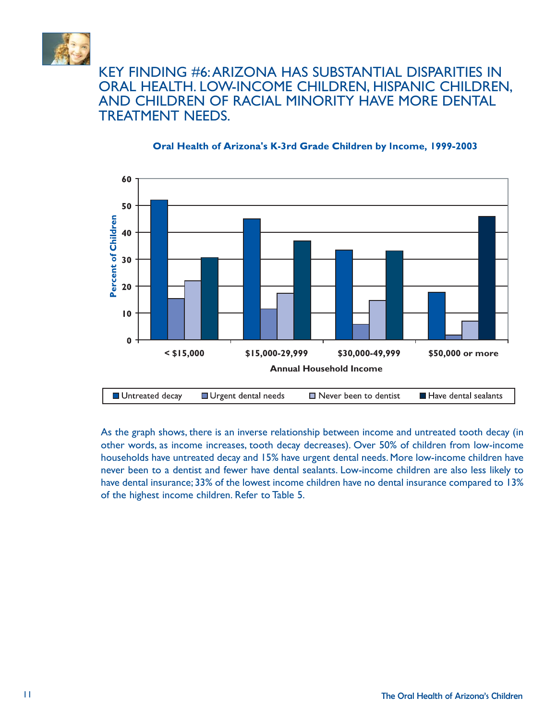

### KEY FINDING #6:ARIZONA HAS SUBSTANTIAL DISPARITIES IN ORAL HEALTH. LOW-INCOME CHILDREN, HISPANIC CHILDREN, AND CHILDREN OF RACIAL MINORITY HAVE MORE DENTAL TREATMENT NEEDS.



#### Oral Health of Arizona's K-3rd Grade Children by Income, 1999-2003

As the graph shows, there is an inverse relationship between income and untreated tooth decay (in other words, as income increases, tooth decay decreases). Over 50% of children from low-income households have untreated decay and 15% have urgent dental needs. More low-income children have never been to a dentist and fewer have dental sealants. Low-income children are also less likely to have dental insurance; 33% of the lowest income children have no dental insurance compared to 13% of the highest income children. Refer to Table 5.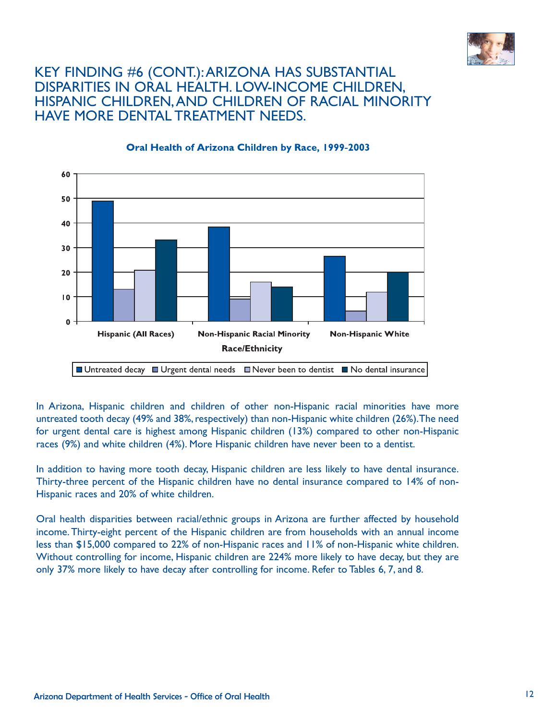

### KEY FINDING #6 (CONT.):ARIZONA HAS SUBSTANTIAL DISPARITIES IN ORAL HEALTH. LOW-INCOME CHILDREN, HISPANIC CHILDREN,AND CHILDREN OF RACIAL MINORITY HAVE MORE DENTAL TREATMENT NEEDS.



#### Oral Health of Arizona Children by Race, 1999-2003

In Arizona, Hispanic children and children of other non-Hispanic racial minorities have more untreated tooth decay (49% and 38%, respectively) than non-Hispanic white children (26%).The need for urgent dental care is highest among Hispanic children (13%) compared to other non-Hispanic races (9%) and white children (4%). More Hispanic children have never been to a dentist.

In addition to having more tooth decay, Hispanic children are less likely to have dental insurance. Thirty-three percent of the Hispanic children have no dental insurance compared to 14% of non-Hispanic races and 20% of white children.

Oral health disparities between racial/ethnic groups in Arizona are further affected by household income. Thirty-eight percent of the Hispanic children are from households with an annual income less than \$15,000 compared to 22% of non-Hispanic races and 11% of non-Hispanic white children. Without controlling for income, Hispanic children are 224% more likely to have decay, but they are only 37% more likely to have decay after controlling for income. Refer to Tables 6, 7, and 8.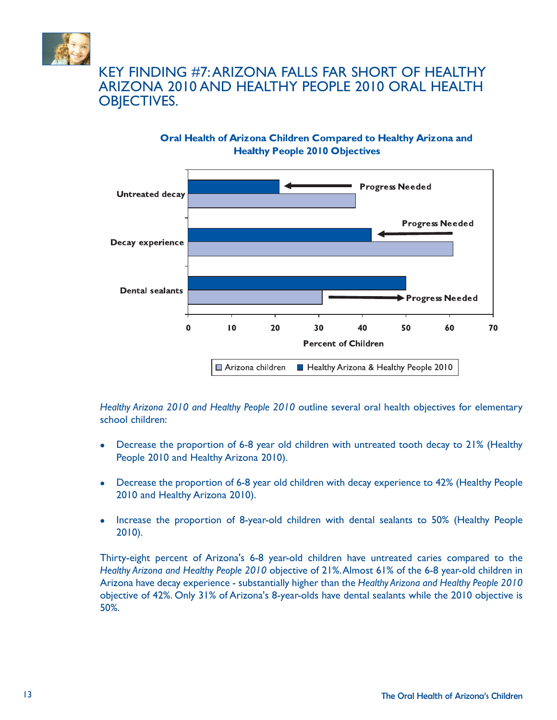

## KEY FINDING #7:ARIZONA FALLS FAR SHORT OF HEALTHY ARIZONA 2010 AND HEALTHY PEOPLE 2010 ORAL HEALTH OBJECTIVES.





*Healthy Arizona 2010 and Healthy People 2010* outline several oral health objectives for elementary school children:

- Decrease the proportion of 6-8 year old children with untreated tooth decay to 21% (Healthy People 2010 and Healthy Arizona 2010).
- Decrease the proportion of 6-8 year old children with decay experience to 42% (Healthy People 2010 and Healthy Arizona 2010).
- Increase the proportion of 8-year-old children with dental sealants to 50% (Healthy People 2010).

Thirty-eight percent of Arizona's 6-8 year-old children have untreated caries compared to the *Healthy Arizona and Healthy People 2010* objective of 21%.Almost 61% of the 6-8 year-old children in Arizona have decay experience - substantially higher than the *Healthy Arizona and Healthy People 2010* objective of 42%. Only 31% of Arizona's 8-year-olds have dental sealants while the 2010 objective is 50%.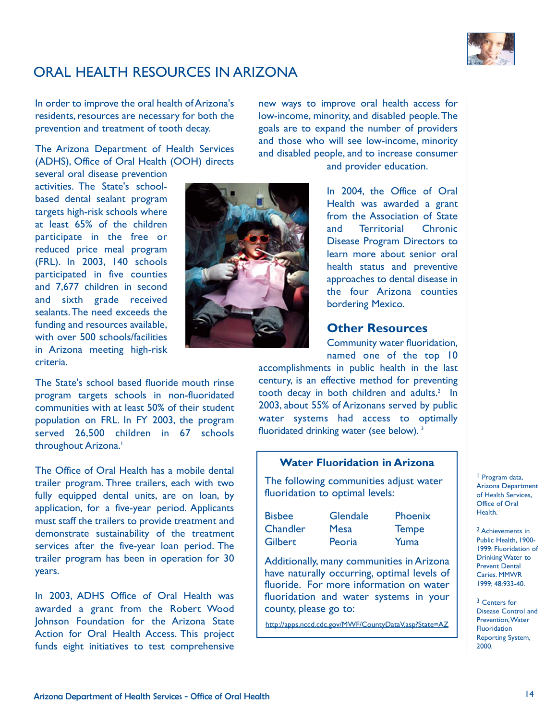

## ORAL HEALTH RESOURCES IN ARIZONA

In order to improve the oral health of Arizona's residents, resources are necessary for both the prevention and treatment of tooth decay.

The Arizona Department of Health Services (ADHS), Office of Oral Health (OOH) directs

several oral disease prevention activities. The State's schoolbased dental sealant program targets high-risk schools where at least 65% of the children participate in the free or reduced price meal program (FRL). In 2003, 140 schools participated in five counties and 7,677 children in second and sixth grade received sealants.The need exceeds the funding and resources available, with over 500 schools/facilities in Arizona meeting high-risk criteria.



The State's school based fluoride mouth rinse program targets schools in non-fluoridated communities with at least 50% of their student population on FRL. In FY 2003, the program served 26,500 children in 67 schools throughout Arizona.<sup>1</sup>

The Office of Oral Health has a mobile dental trailer program. Three trailers, each with two fully equipped dental units, are on loan, by application, for a five-year period. Applicants must staff the trailers to provide treatment and demonstrate sustainability of the treatment services after the five-year loan period. The trailer program has been in operation for 30 years.

In 2003, ADHS Office of Oral Health was awarded a grant from the Robert Wood Johnson Foundation for the Arizona State Action for Oral Health Access. This project funds eight initiatives to test comprehensive

new ways to improve oral health access for low-income, minority, and disabled people.The goals are to expand the number of providers and those who will see low-income, minority and disabled people, and to increase consumer

and provider education.

In 2004, the Office of Oral Health was awarded a grant from the Association of State and Territorial Chronic Disease Program Directors to learn more about senior oral health status and preventive approaches to dental disease in the four Arizona counties bordering Mexico.

#### **Other Resources**

Community water fluoridation, named one of the top 10

accomplishments in public health in the last century, is an effective method for preventing tooth decay in both children and adults. $2 \ln$ 2003, about 55% of Arizonans served by public water systems had access to optimally fluoridated drinking water (see below).<sup>3</sup>

#### **Water Fluoridation in Arizona**

The following communities adjust water fluoridation to optimal levels:

| <b>Bisbee</b>  | <b>Glendale</b> | Phoenix      |
|----------------|-----------------|--------------|
| Chandler       | <b>Mesa</b>     | <b>Tempe</b> |
| <b>Gilbert</b> | Peoria          | Yuma         |

Additionally, many communities in Arizona have naturally occurring, optimal levels of fluoride. For more information on water fluoridation and water systems in your county, please go to:

http://apps.nccd.cdc.gov/MWF/CountyDataV.asp?State=AZ

1 Program data, Arizona Department of Health Services, Office of Oral Health.

2 Achievements in Public Health, 1900- 1999: Fluoridation of Drinking Water to Prevent Dental Caries. MMWR 1999; 48:933-40.

3 Centers for Disease Control and Prevention,Water Fluoridation Reporting System, 2000.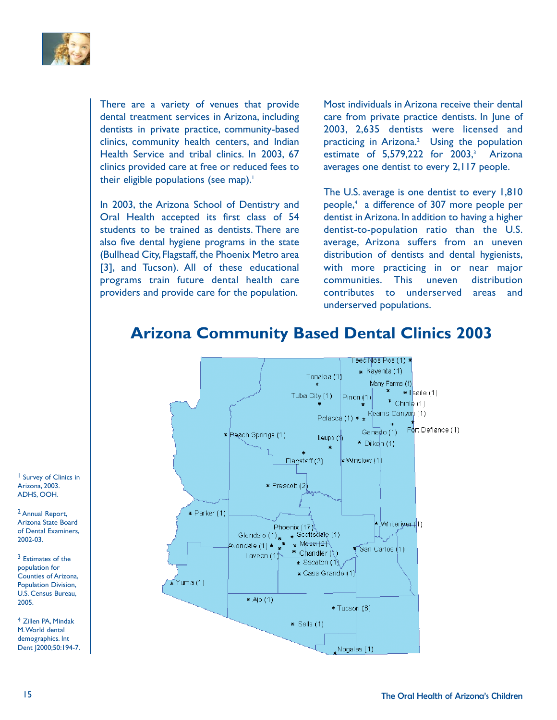

There are a variety of venues that provide dental treatment services in Arizona, including dentists in private practice, community-based clinics, community health centers, and Indian Health Service and tribal clinics. In 2003, 67 clinics provided care at free or reduced fees to their eligible populations (see map).<sup>1</sup>

In 2003, the Arizona School of Dentistry and Oral Health accepted its first class of 54 students to be trained as dentists. There are also five dental hygiene programs in the state (Bullhead City, Flagstaff, the Phoenix Metro area [3], and Tucson). All of these educational programs train future dental health care providers and provide care for the population.

Most individuals in Arizona receive their dental care from private practice dentists. In June of 2003, 2,635 dentists were licensed and practicing in Arizona.<sup>2</sup> Using the population estimate of  $5,579,222$  for  $2003$ ,<sup>3</sup> Arizona averages one dentist to every 2,117 people.

The U.S. average is one dentist to every 1,810 people,4 a difference of 307 more people per dentist in Arizona. In addition to having a higher dentist-to-population ratio than the U.S. average, Arizona suffers from an uneven distribution of dentists and dental hygienists, with more practicing in or near major communities. This uneven distribution contributes to underserved areas and underserved populations.

## **Arizona Community Based Dental Clinics 2003**



1 Survey of Clinics in Arizona, 2003. ADHS, OOH.

2 Annual Report, Arizona State Board of Dental Examiners, 2002-03.

3 Estimates of the population for Counties of Arizona, Population Division, U.S. Census Bureau, 2005.

4 Zillen PA, Mindak M.World dental demographics. Int Dent J2000;50:194-7.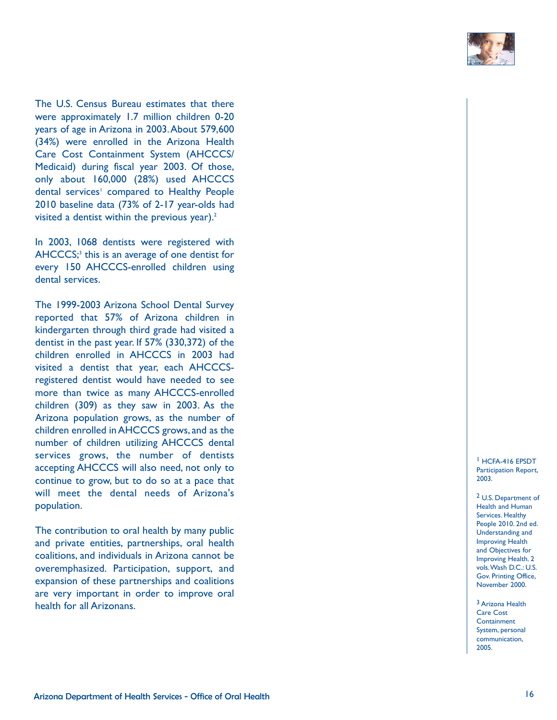

The U.S. Census Bureau estimates that there were approximately 1.7 million children 0-20 years of age in Arizona in 2003.About 579,600 (34%) were enrolled in the Arizona Health Care Cost Containment System (AHCCCS/ Medicaid) during fiscal year 2003. Of those, only about 160,000 (28%) used AHCCCS dental services <sup>1</sup> compared to Healthy People 2010 baseline data (73% of 2-17 year-olds had visited a dentist within the previous year). 2

In 2003, 1068 dentists were registered with AHCCCS; <sup>3</sup> this is an average of one dentist for every 150 AHCCCS-enrolled children using dental services.

The 1999-2003 Arizona School Dental Survey reported that 57% of Arizona children in kindergarten through third grade had visited a dentist in the past year. If 57% (330,372) of the children enrolled in AHCCCS in 2003 had visited a dentist that year, each AHCCCSregistered dentist would have needed to see more than twice as many AHCCCS-enrolled children (309) as they saw in 2003. As the Arizona population grows, as the number of children enrolled in AHCCCS grows, and as the number of children utilizing AHCCCS dental services grows, the number of dentists accepting AHCCCS will also need, not only to continue to grow, but to do so at a pace that will meet the dental needs of Arizona's population.

The contribution to oral health by many public and private entities, partnerships, oral health coalitions, and individuals in Arizona cannot be overemphasized. Participation, support, and expansion of these partnerships and coalitions are very important in order to improve oral health for all Arizonans.

1 HCFA-416 EPSDT Participation Report, 2003.

2 U.S. Department of Health and Human Services. Healthy People 2010. 2nd ed. Understanding and Improving Health and Objectives for Improving Health. 2 vols.Wash D.C.: U.S. Gov. Printing Office, November 2000.

3 Arizona Health Care Cost **Containment** System, personal communication, 2005.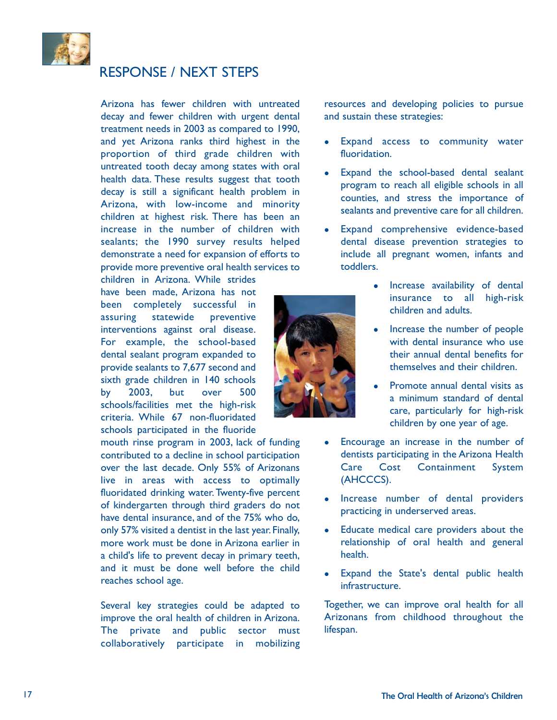

## RESPONSE / NEXT STEPS

Arizona has fewer children with untreated decay and fewer children with urgent dental treatment needs in 2003 as compared to 1990, and yet Arizona ranks third highest in the proportion of third grade children with untreated tooth decay among states with oral health data. These results suggest that tooth decay is still a significant health problem in Arizona, with low-income and minority children at highest risk. There has been an increase in the number of children with sealants; the 1990 survey results helped demonstrate a need for expansion of efforts to provide more preventive oral health services to

children in Arizona. While strides have been made, Arizona has not been completely successful in assuring statewide preventive interventions against oral disease. For example, the school-based dental sealant program expanded to provide sealants to 7,677 second and sixth grade children in 140 schools by 2003, but over 500 schools/facilities met the high-risk criteria. While 67 non-fluoridated schools participated in the fluoride

mouth rinse program in 2003, lack of funding contributed to a decline in school participation over the last decade. Only 55% of Arizonans live in areas with access to optimally fluoridated drinking water.Twenty-five percent of kindergarten through third graders do not have dental insurance, and of the 75% who do, only 57% visited a dentist in the last year.Finally, more work must be done in Arizona earlier in a child's life to prevent decay in primary teeth, and it must be done well before the child reaches school age.

Several key strategies could be adapted to improve the oral health of children in Arizona. The private and public sector must collaboratively participate in mobilizing

resources and developing policies to pursue and sustain these strategies:

- Expand access to community water fluoridation.
- Expand the school-based dental sealant program to reach all eligible schools in all counties, and stress the importance of sealants and preventive care for all children.
- Expand comprehensive evidence-based dental disease prevention strategies to include all pregnant women, infants and toddlers.
	- Increase availability of dental insurance to all high-risk children and adults.
	- Increase the number of people with dental insurance who use their annual dental benefits for themselves and their children.
	- Promote annual dental visits as a minimum standard of dental care, particularly for high-risk children by one year of age.
- Encourage an increase in the number of dentists participating in the Arizona Health Care Cost Containment System (AHCCCS).
- Increase number of dental providers practicing in underserved areas.
- Educate medical care providers about the relationship of oral health and general health.
- Expand the State's dental public health infrastructure.

Together, we can improve oral health for all Arizonans from childhood throughout the lifespan.

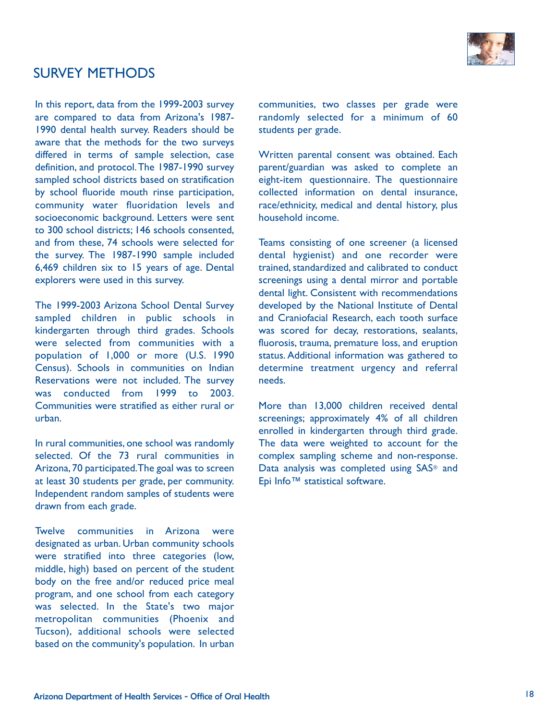

### SURVEY METHODS

In this report, data from the 1999-2003 survey are compared to data from Arizona's 1987- 1990 dental health survey. Readers should be aware that the methods for the two surveys differed in terms of sample selection, case definition, and protocol.The 1987-1990 survey sampled school districts based on stratification by school fluoride mouth rinse participation, community water fluoridation levels and socioeconomic background. Letters were sent to 300 school districts; 146 schools consented, and from these, 74 schools were selected for the survey. The 1987-1990 sample included 6,469 children six to 15 years of age. Dental explorers were used in this survey.

The 1999-2003 Arizona School Dental Survey sampled children in public schools in kindergarten through third grades. Schools were selected from communities with a population of 1,000 or more (U.S. 1990 Census). Schools in communities on Indian Reservations were not included. The survey was conducted from 1999 to 2003. Communities were stratified as either rural or urban.

In rural communities, one school was randomly selected. Of the 73 rural communities in Arizona,70 participated.The goal was to screen at least 30 students per grade, per community. Independent random samples of students were drawn from each grade.

Twelve communities in Arizona were designated as urban. Urban community schools were stratified into three categories (low, middle, high) based on percent of the student body on the free and/or reduced price meal program, and one school from each category was selected. In the State's two major metropolitan communities (Phoenix and Tucson), additional schools were selected based on the community's population. In urban

communities, two classes per grade were randomly selected for a minimum of 60 students per grade.

Written parental consent was obtained. Each parent/guardian was asked to complete an eight-item questionnaire. The questionnaire collected information on dental insurance, race/ethnicity, medical and dental history, plus household income.

Teams consisting of one screener (a licensed dental hygienist) and one recorder were trained, standardized and calibrated to conduct screenings using a dental mirror and portable dental light. Consistent with recommendations developed by the National Institute of Dental and Craniofacial Research, each tooth surface was scored for decay, restorations, sealants, fluorosis, trauma, premature loss, and eruption status. Additional information was gathered to determine treatment urgency and referral needs.

More than 13,000 children received dental screenings; approximately 4% of all children enrolled in kindergarten through third grade. The data were weighted to account for the complex sampling scheme and non-response. Data analysis was completed using SAS<sup>®</sup> and Epi Info™ statistical software.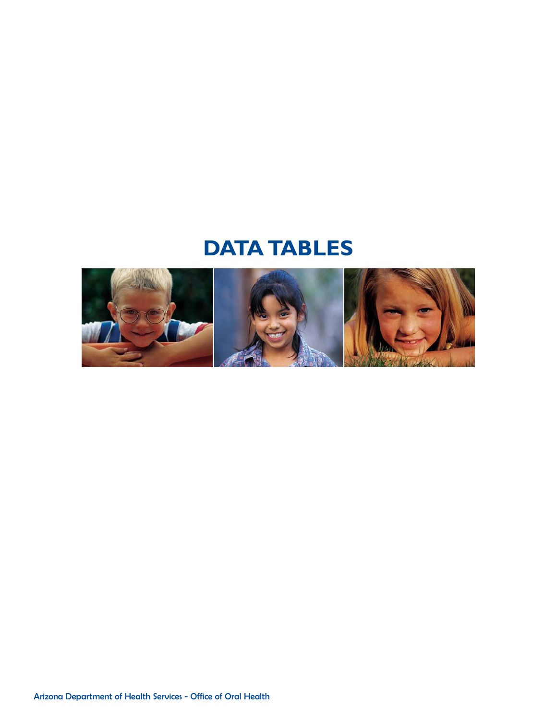# **DATA TABLES**

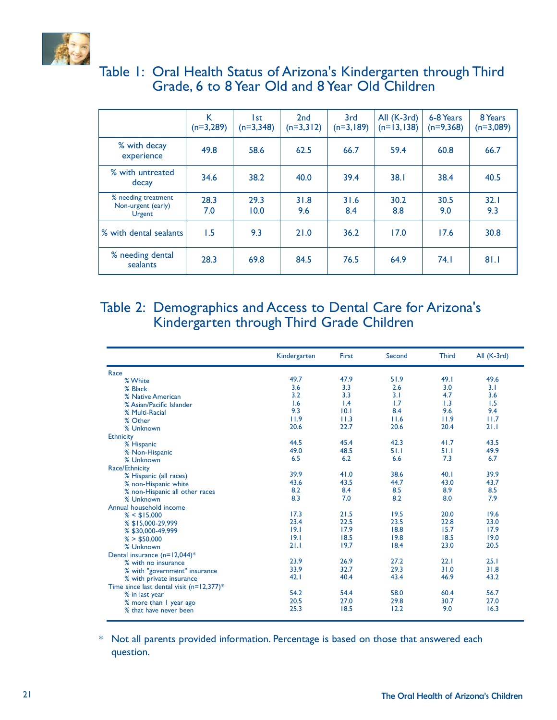

## Table 1: Oral Health Status of Arizona's Kindergarten through Third Grade, 6 to 8 Year Old and 8 Year Old Children

|                                                            | K<br>$(n=3,289)$ | l st<br>$(n=3,348)$ | 2nd<br>$(n=3,3 2)$ | 3rd<br>$(n=3,189)$ | All (K-3rd)<br>$(n=13,138)$ | 6-8 Years<br>$(n=9,368)$ | 8 Years<br>$(n=3,089)$ |
|------------------------------------------------------------|------------------|---------------------|--------------------|--------------------|-----------------------------|--------------------------|------------------------|
| % with decay<br>experience                                 | 49.8             | 58.6                | 62.5               | 66.7               | 59.4                        | 60.8                     | 66.7                   |
| % with untreated<br>decay                                  | 34.6             | 38.2                | 40.0               | 39.4               | 38.1                        | 38.4                     | 40.5                   |
| % needing treatment<br>Non-urgent (early)<br><b>Urgent</b> | 28.3<br>7.0      | 29.3<br>10.0        | 31.8<br>9.6        | 31.6<br>8.4        | 30.2<br>8.8                 | 30.5<br>9.0              | 32.1<br>9.3            |
| % with dental sealants                                     | 1.5              | 9.3                 | 21.0               | 36.2               | 17.0                        | 17.6                     | 30.8                   |
| % needing dental<br>sealants                               | 28.3             | 69.8                | 84.5               | 76.5               | 64.9                        | 74.1                     | 81.1                   |

## Table 2: Demographics and Access to Dental Care for Arizona's Kindergarten through Third Grade Children

|                                             | Kindergarten | First | Second | <b>Third</b> | All (K-3rd) |
|---------------------------------------------|--------------|-------|--------|--------------|-------------|
| Race                                        |              |       |        |              |             |
| % White                                     | 49.7         | 47.9  | 51.9   | 49.1         | 49.6        |
| % Black                                     | 3.6          | 3.3   | 2.6    | 3.0          | 3.1         |
| % Native American                           | 3.2          | 3.3   | 3.1    | 4.7          | 3.6         |
| % Asian/Pacific Islander                    | 1.6          | 1.4   | 1.7    | 1.3          | 1.5         |
| % Multi-Racial                              | 9.3          | 10.1  | 8.4    | 9.6          | 9.4         |
| % Other                                     | 11.9         | 11.3  | 11.6   | 11.9         | 11.7        |
| % Unknown                                   | 20.6         | 22.7  | 20.6   | 20.4         | 21.1        |
| <b>Ethnicity</b>                            |              |       |        |              |             |
| % Hispanic                                  | 44.5         | 45.4  | 42.3   | 41.7         | 43.5        |
| % Non-Hispanic                              | 49.0         | 48.5  | 51.1   | 51.1         | 49.9        |
| % Unknown                                   | 6.5          | 6.2   | 6.6    | 7.3          | 6.7         |
| Race/Ethnicity                              |              |       |        |              |             |
| % Hispanic (all races)                      | 39.9         | 41.0  | 38.6   | 40.1         | 39.9        |
| % non-Hispanic white                        | 43.6         | 43.5  | 44.7   | 43.0         | 43.7        |
| % non-Hispanic all other races              | 8.2          | 8.4   | 8.5    | 8.9          | 8.5         |
| % Unknown                                   | 8.3          | 7.0   | 8.2    | 8.0          | 7.9         |
| Annual household income                     |              |       |        |              |             |
| $% <$ \$15,000                              | 17.3         | 21.5  | 19.5   | 20.0         | 19.6        |
| % \$15,000-29,999                           | 23.4         | 22.5  | 23.5   | 22.8         | 23.0        |
| % \$30,000-49,999                           | 19.1         | 17.9  | 18.8   | 15.7         | 17.9        |
| % > \$50,000                                | 19.1         | 18.5  | 19.8   | 18.5         | 19.0        |
| % Unknown                                   | 21.1         | 19.7  | 18.4   | 23.0         | 20.5        |
| Dental insurance $(n=12,044)*$              |              |       |        |              |             |
| % with no insurance                         | 23.9         | 26.9  | 27.2   | 22.1         | 25.1        |
| % with "government" insurance               | 33.9         | 32.7  | 29.3   | 31.0         | 31.8        |
| % with private insurance                    | 42.1         | 40.4  | 43.4   | 46.9         | 43.2        |
| Time since last dental visit $(n=12,377)^*$ |              |       |        |              |             |
| % in last year                              | 54.2         | 54.4  | 58.0   | 60.4         | 56.7        |
| % more than I year ago                      | 20.5         | 27.0  | 29.8   | 30.7         | 27.0        |
| % that have never been                      | 25.3         | 18.5  | 12.2   | 9.0          | 16.3        |

\* Not all parents provided information. Percentage is based on those that answered each question.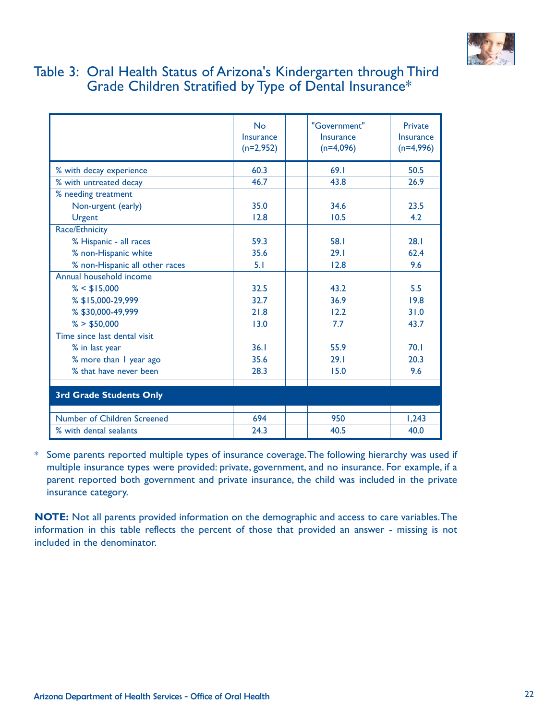

### Table 3: Oral Health Status of Arizona's Kindergarten through Third Grade Children Stratified by Type of Dental Insurance\*

|                                | No<br>Insurance<br>$(n=2,952)$ | "Government"<br>Insurance<br>$(n=4,096)$ | Private<br>Insurance<br>$(n=4,996)$ |  |
|--------------------------------|--------------------------------|------------------------------------------|-------------------------------------|--|
| % with decay experience        | 60.3                           | 69.1                                     | 50.5                                |  |
| % with untreated decay         | 46.7                           | 43.8                                     | 26.9                                |  |
| % needing treatment            |                                |                                          |                                     |  |
| Non-urgent (early)             | 35.0                           | 34.6                                     | 23.5                                |  |
| <b>Urgent</b>                  | 12.8                           | 10.5                                     | 4.2                                 |  |
| Race/Ethnicity                 |                                |                                          |                                     |  |
| % Hispanic - all races         | 59.3                           | 58.1                                     | 28.1                                |  |
| % non-Hispanic white           | 35.6                           | 29.1                                     | 62.4                                |  |
| % non-Hispanic all other races | 5.1                            | 12.8                                     | 9.6                                 |  |
| Annual household income        |                                |                                          |                                     |  |
| $% <$ \$15,000                 | 32.5                           | 43.2                                     | 5.5                                 |  |
| % \$15,000-29,999              | 32.7                           | 36.9                                     | 19.8                                |  |
| % \$30,000-49,999              | 21.8                           | 12.2                                     | 31.0                                |  |
| % > \$50,000                   | 13.0                           | 7.7                                      | 43.7                                |  |
| Time since last dental visit   |                                |                                          |                                     |  |
| % in last year                 | 36.1                           | 55.9                                     | 70.1                                |  |
| % more than I year ago         | 35.6                           | 29.1                                     | 20.3                                |  |
| % that have never been         | 28.3                           | 15.0                                     | 9.6                                 |  |
| 3rd Grade Students Only        |                                |                                          |                                     |  |
| Number of Children Screened    | 694                            | 950                                      | 1,243                               |  |
| % with dental sealants         | 24.3                           | 40.5                                     | 40.0                                |  |

\* Some parents reported multiple types of insurance coverage.The following hierarchy was used if multiple insurance types were provided: private, government, and no insurance. For example, if a parent reported both government and private insurance, the child was included in the private insurance category.

**NOTE:** Not all parents provided information on the demographic and access to care variables.The information in this table reflects the percent of those that provided an answer - missing is not included in the denominator.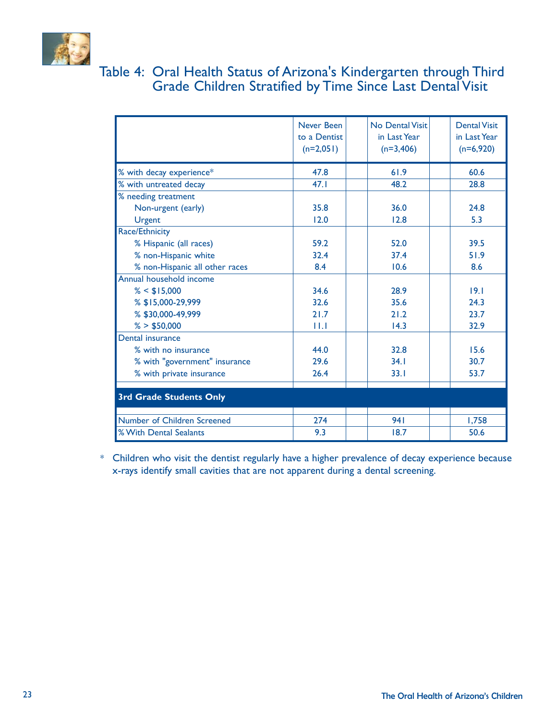

## Table 4: Oral Health Status of Arizona's Kindergarten through Third Grade Children Stratified by Time Since Last Dental Visit

|                                | Never Been<br>to a Dentist<br>$(n=2,051)$ | <b>No Dental Visit</b><br>in Last Year<br>$(n=3,406)$ | <b>Dental Visit</b><br>in Last Year<br>$(n=6,920)$ |
|--------------------------------|-------------------------------------------|-------------------------------------------------------|----------------------------------------------------|
| % with decay experience*       | 47.8                                      | 61.9                                                  | 60.6                                               |
| % with untreated decay         | 47.1                                      | 48.2                                                  | 28.8                                               |
| % needing treatment            |                                           |                                                       |                                                    |
| Non-urgent (early)             | 35.8                                      | 36.0                                                  | 24.8                                               |
| <b>Urgent</b>                  | 12.0                                      | 12.8                                                  | 5.3                                                |
| Race/Ethnicity                 |                                           |                                                       |                                                    |
| % Hispanic (all races)         | 59.2                                      | 52.0                                                  | 39.5                                               |
| % non-Hispanic white           | 32.4                                      | 37.4                                                  | 51.9                                               |
| % non-Hispanic all other races | 8.4                                       | 10.6                                                  | 8.6                                                |
| Annual household income        |                                           |                                                       |                                                    |
| $% <$ \$15,000                 | 34.6                                      | 28.9                                                  | 19.1                                               |
| % \$15,000-29,999              | 32.6                                      | 35.6                                                  | 24.3                                               |
| % \$30,000-49,999              | 21.7                                      | 21.2                                                  | 23.7                                               |
| % > \$50,000                   | Ш                                         | 14.3                                                  | 32.9                                               |
| Dental insurance               |                                           |                                                       |                                                    |
| % with no insurance            | 44.0                                      | 32.8                                                  | 15.6                                               |
| % with "government" insurance  | 29.6                                      | 34.1                                                  | 30.7                                               |
| % with private insurance       | 26.4                                      | 33.1                                                  | 53.7                                               |
| <b>3rd Grade Students Only</b> |                                           |                                                       |                                                    |
| Number of Children Screened    | 274                                       | 941                                                   | 1,758                                              |
| % With Dental Sealants         | 9.3                                       | 18.7                                                  | 50.6                                               |

\* Children who visit the dentist regularly have a higher prevalence of decay experience because x-rays identify small cavities that are not apparent during a dental screening.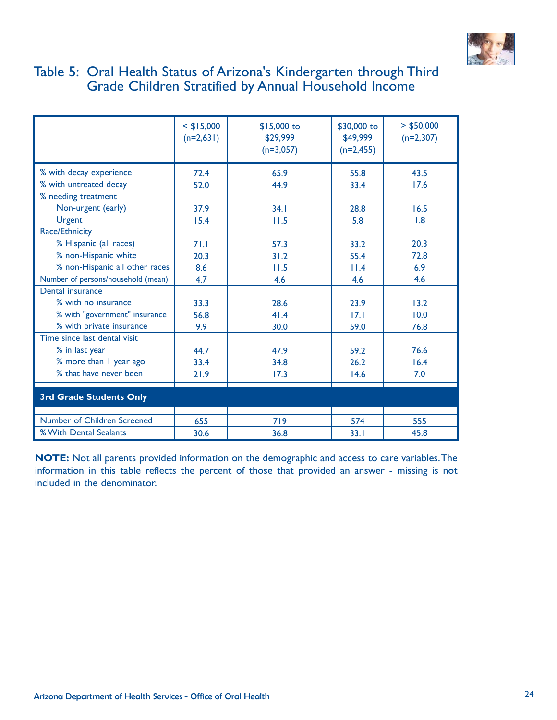

### Table 5: Oral Health Status of Arizona's Kindergarten through Third Grade Children Stratified by Annual Household Income

|                                    | $<$ \$15,000<br>$(n=2,631)$ | \$15,000 to<br>\$29,999<br>$(n=3,057)$ | \$30,000 to<br>\$49,999<br>$(n=2,455)$ | $>$ \$50,000<br>$(n=2,307)$ |
|------------------------------------|-----------------------------|----------------------------------------|----------------------------------------|-----------------------------|
| % with decay experience            | 72.4                        | 65.9                                   | 55.8                                   | 43.5                        |
| % with untreated decay             | 52.0                        | 44.9                                   | 33.4                                   | 17.6                        |
| % needing treatment                |                             |                                        |                                        |                             |
| Non-urgent (early)                 | 37.9                        | 34.1                                   | 28.8                                   | 16.5                        |
| <b>Urgent</b>                      | 15.4                        | 11.5                                   | 5.8                                    | 1.8                         |
| Race/Ethnicity                     |                             |                                        |                                        |                             |
| % Hispanic (all races)             | 71.1                        | 57.3                                   | 33.2                                   | 20.3                        |
| % non-Hispanic white               | 20.3                        | 31.2                                   | 55.4                                   | 72.8                        |
| % non-Hispanic all other races     | 8.6                         | 11.5                                   | 11.4                                   | 6.9                         |
| Number of persons/household (mean) | 4.7                         | 4.6                                    | 4.6                                    | 4.6                         |
| Dental insurance                   |                             |                                        |                                        |                             |
| % with no insurance                | 33.3                        | 28.6                                   | 23.9                                   | 13.2                        |
| % with "government" insurance      | 56.8                        | 41.4                                   | 17.1                                   | 10.0                        |
| % with private insurance           | 9.9                         | 30.0                                   | 59.0                                   | 76.8                        |
| Time since last dental visit       |                             |                                        |                                        |                             |
| % in last year                     | 44.7                        | 47.9                                   | 59.2                                   | 76.6                        |
| % more than I year ago             | 33.4                        | 34.8                                   | 26.2                                   | 16.4                        |
| % that have never been             | 21.9                        | 17.3                                   | 14.6                                   | 7.0                         |
| <b>3rd Grade Students Only</b>     |                             |                                        |                                        |                             |
| Number of Children Screened        | 655                         | 719                                    | 574                                    | 555                         |
| % With Dental Sealants             | 30.6                        | 36.8                                   | 33.1                                   | 45.8                        |

**NOTE:** Not all parents provided information on the demographic and access to care variables.The information in this table reflects the percent of those that provided an answer - missing is not included in the denominator.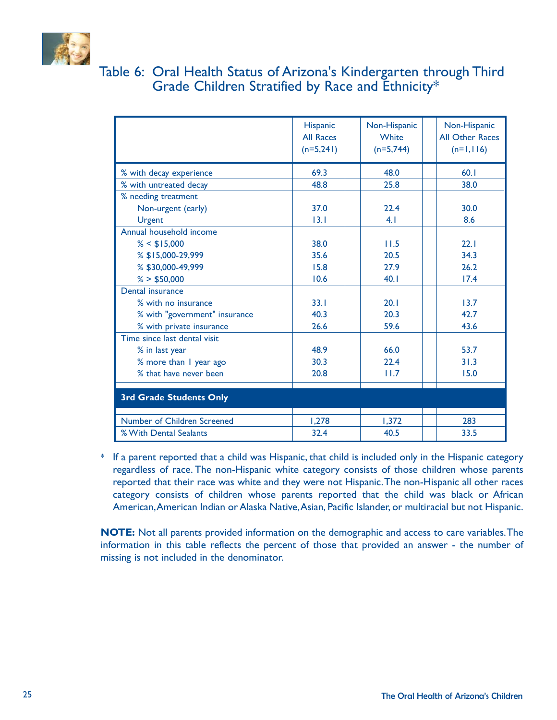

## Table 6: Oral Health Status of Arizona's Kindergarten through Third Grade Children Stratified by Race and Ethnicity\*

|                                | <b>Hispanic</b><br><b>All Races</b><br>$(n=5,241)$ | Non-Hispanic<br><b>White</b><br>$(n=5,744)$ | Non-Hispanic<br><b>All Other Races</b><br>$(n=1,116)$ |
|--------------------------------|----------------------------------------------------|---------------------------------------------|-------------------------------------------------------|
| % with decay experience        | 69.3                                               | 48.0                                        | 60.1                                                  |
| % with untreated decay         | 48.8                                               | 25.8                                        | 38.0                                                  |
| % needing treatment            |                                                    |                                             |                                                       |
| Non-urgent (early)             | 37.0                                               | 22.4                                        | 30.0                                                  |
| <b>Urgent</b>                  | 13.1                                               | 4.1                                         | 8.6                                                   |
| Annual household income        |                                                    |                                             |                                                       |
| $% <$ \$15,000                 | 38.0                                               | 11.5                                        | 22.1                                                  |
| % \$15,000-29,999              | 35.6                                               | 20.5                                        | 34.3                                                  |
| % \$30,000-49,999              | 15.8                                               | 27.9                                        | 26.2                                                  |
| % > \$50,000                   | 10.6                                               | 40.1                                        | 17.4                                                  |
| Dental insurance               |                                                    |                                             |                                                       |
| % with no insurance            | 33.1                                               | 20.1                                        | 13.7                                                  |
| % with "government" insurance  | 40.3                                               | 20.3                                        | 42.7                                                  |
| % with private insurance       | 26.6                                               | 59.6                                        | 43.6                                                  |
| Time since last dental visit   |                                                    |                                             |                                                       |
| % in last year                 | 48.9                                               | 66.0                                        | 53.7                                                  |
| % more than I year ago         | 30.3                                               | 22.4                                        | 31.3                                                  |
| % that have never been         | 20.8                                               | 11.7                                        | 15.0                                                  |
| <b>3rd Grade Students Only</b> |                                                    |                                             |                                                       |
| Number of Children Screened    | 1,278                                              | 1,372                                       | 283                                                   |
| % With Dental Sealants         | 32.4                                               | 40.5                                        | 33.5                                                  |

\* If a parent reported that a child was Hispanic, that child is included only in the Hispanic category regardless of race. The non-Hispanic white category consists of those children whose parents reported that their race was white and they were not Hispanic.The non-Hispanic all other races category consists of children whose parents reported that the child was black or African American,American Indian or Alaska Native,Asian, Pacific Islander, or multiracial but not Hispanic.

**NOTE:** Not all parents provided information on the demographic and access to care variables.The information in this table reflects the percent of those that provided an answer - the number of missing is not included in the denominator.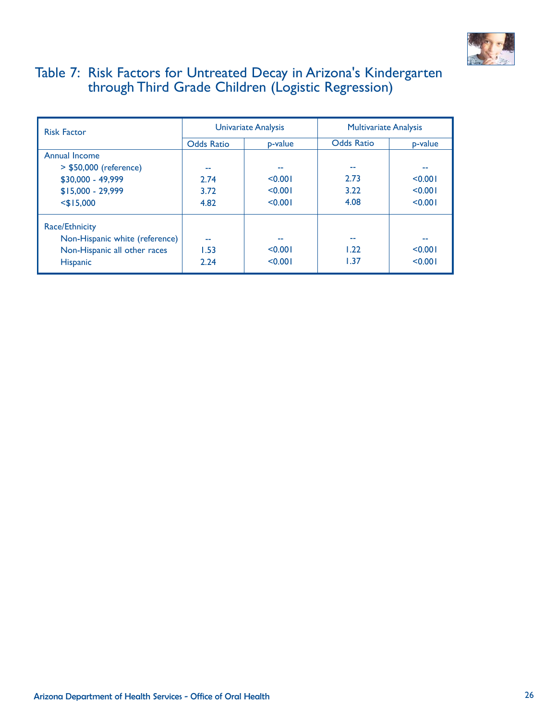

## Table 7: Risk Factors for Untreated Decay in Arizona's Kindergarten through Third Grade Children (Logistic Regression)

| <b>Risk Factor</b>             |                   | Univariate Analysis | <b>Multivariate Analysis</b> |         |
|--------------------------------|-------------------|---------------------|------------------------------|---------|
|                                | <b>Odds Ratio</b> | p-value             | <b>Odds Ratio</b>            | p-value |
| Annual Income                  |                   |                     |                              |         |
| > \$50,000 (reference)         | --                |                     | --                           |         |
| \$30,000 - 49,999              | 2.74              | < 0.001             | 2.73                         | < 0.001 |
| $$15,000 - 29,999$             | 3.72              | < 0.001             | 3.22                         | < 0.001 |
| $<$ \$15,000                   | 4.82              | < 0.001             | 4.08                         | < 0.001 |
| <b>Race/Ethnicity</b>          |                   |                     |                              |         |
| Non-Hispanic white (reference) | --                | --                  | --                           |         |
| Non-Hispanic all other races   | 1.53              | < 0.001             | 1.22                         | < 0.001 |
| <b>Hispanic</b>                | 2.24              | < 0.001             | 1.37                         | < 0.001 |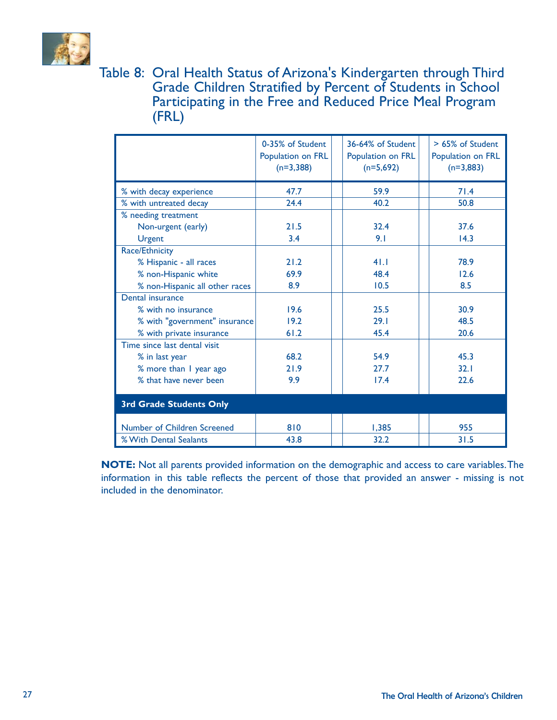

Table 8: Oral Health Status of Arizona's Kindergarten through Third Grade Children Stratified by Percent of Students in School Participating in the Free and Reduced Price Meal Program (FRL)

|                                | 0-35% of Student<br>Population on FRL<br>$(n=3,388)$ | 36-64% of Student<br>Population on FRL<br>$(n=5,692)$ | > 65% of Student<br>Population on FRL<br>$(n=3,883)$ |
|--------------------------------|------------------------------------------------------|-------------------------------------------------------|------------------------------------------------------|
| % with decay experience        | 47.7                                                 | 59.9                                                  | 71.4                                                 |
| % with untreated decay         | 24.4                                                 | 40.2                                                  | 50.8                                                 |
| % needing treatment            |                                                      |                                                       |                                                      |
| Non-urgent (early)             | 21.5                                                 | 32.4                                                  | 37.6                                                 |
| Urgent                         | 3.4                                                  | 9.1                                                   | 14.3                                                 |
| Race/Ethnicity                 |                                                      |                                                       |                                                      |
| % Hispanic - all races         | 21.2                                                 | 41.1                                                  | 78.9                                                 |
| % non-Hispanic white           | 69.9                                                 | 48.4                                                  | 12.6                                                 |
| % non-Hispanic all other races | 8.9                                                  | 10.5                                                  | 8.5                                                  |
| Dental insurance               |                                                      |                                                       |                                                      |
| % with no insurance            | 19.6                                                 | 25.5                                                  | 30.9                                                 |
| % with "government" insurance  | 19.2                                                 | 29.1                                                  | 48.5                                                 |
| % with private insurance       | 61.2                                                 | 45.4                                                  | 20.6                                                 |
| Time since last dental visit   |                                                      |                                                       |                                                      |
| % in last year                 | 68.2                                                 | 54.9                                                  | 45.3                                                 |
| % more than I year ago         | 21.9                                                 | 27.7                                                  | 32.1                                                 |
| % that have never been         | 9.9                                                  | 17.4                                                  | 22.6                                                 |
| <b>3rd Grade Students Only</b> |                                                      |                                                       |                                                      |
| Number of Children Screened    | 810                                                  | 1,385                                                 | 955                                                  |
| % With Dental Sealants         | 43.8                                                 | 32.2                                                  | 31.5                                                 |

**NOTE:** Not all parents provided information on the demographic and access to care variables.The information in this table reflects the percent of those that provided an answer - missing is not included in the denominator.